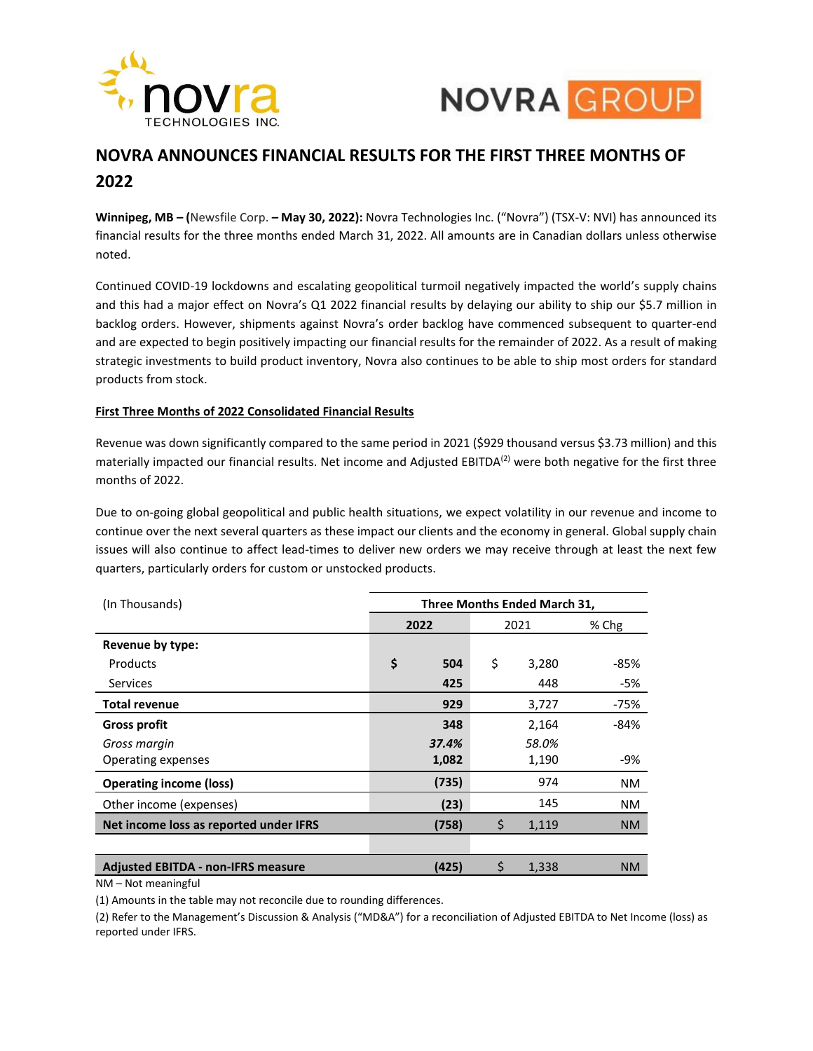



# **NOVRA ANNOUNCES FINANCIAL RESULTS FOR THE FIRST THREE MONTHS OF 2022**

**Winnipeg, MB – (**Newsfile Corp. **– May 30, 2022):** Novra Technologies Inc. ("Novra") (TSX-V: NVI) has announced its financial results for the three months ended March 31, 2022. All amounts are in Canadian dollars unless otherwise noted.

Continued COVID-19 lockdowns and escalating geopolitical turmoil negatively impacted the world's supply chains and this had a major effect on Novra's Q1 2022 financial results by delaying our ability to ship our \$5.7 million in backlog orders. However, shipments against Novra's order backlog have commenced subsequent to quarter-end and are expected to begin positively impacting our financial results for the remainder of 2022. As a result of making strategic investments to build product inventory, Novra also continues to be able to ship most orders for standard products from stock.

# **First Three Months of 2022 Consolidated Financial Results**

Revenue was down significantly compared to the same period in 2021 (\$929 thousand versus \$3.73 million) and this materially impacted our financial results. Net income and Adjusted EBITDA $(2)$  were both negative for the first three months of 2022.

Due to on-going global geopolitical and public health situations, we expect volatility in our revenue and income to continue over the next several quarters as these impact our clients and the economy in general. Global supply chain issues will also continue to affect lead-times to deliver new orders we may receive through at least the next few quarters, particularly orders for custom or unstocked products.

| (In Thousands)                            | Three Months Ended March 31, |       |      |       |           |
|-------------------------------------------|------------------------------|-------|------|-------|-----------|
|                                           | 2022                         |       | 2021 |       | % Chg     |
| Revenue by type:                          |                              |       |      |       |           |
| Products                                  | \$                           | 504   | \$   | 3,280 | $-85%$    |
| <b>Services</b>                           |                              | 425   |      | 448   | -5%       |
| <b>Total revenue</b>                      |                              | 929   |      | 3,727 | -75%      |
| <b>Gross profit</b>                       |                              | 348   |      | 2,164 | $-84%$    |
| Gross margin                              |                              | 37.4% |      | 58.0% |           |
| Operating expenses                        |                              | 1,082 |      | 1,190 | -9%       |
| <b>Operating income (loss)</b>            |                              | (735) |      | 974   | NM        |
| Other income (expenses)                   |                              | (23)  |      | 145   | NM.       |
| Net income loss as reported under IFRS    |                              | (758) | \$   | 1,119 | <b>NM</b> |
|                                           |                              |       |      |       |           |
| <b>Adjusted EBITDA - non-IFRS measure</b> |                              | (425) | \$   | 1,338 | <b>NM</b> |

NM – Not meaningful

(1) Amounts in the table may not reconcile due to rounding differences.

(2) Refer to the Management's Discussion & Analysis ("MD&A") for a reconciliation of Adjusted EBITDA to Net Income (loss) as reported under IFRS.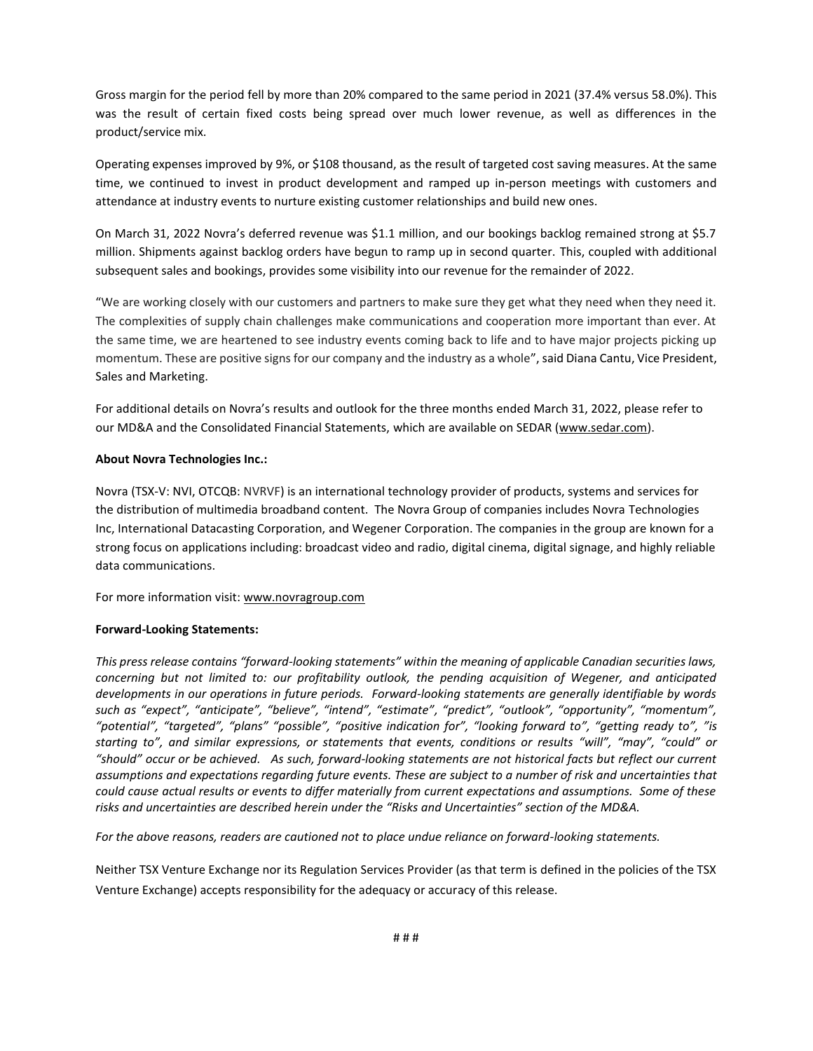Gross margin for the period fell by more than 20% compared to the same period in 2021 (37.4% versus 58.0%). This was the result of certain fixed costs being spread over much lower revenue, as well as differences in the product/service mix.

Operating expenses improved by 9%, or \$108 thousand, as the result of targeted cost saving measures. At the same time, we continued to invest in product development and ramped up in-person meetings with customers and attendance at industry events to nurture existing customer relationships and build new ones.

On March 31, 2022 Novra's deferred revenue was \$1.1 million, and our bookings backlog remained strong at \$5.7 million. Shipments against backlog orders have begun to ramp up in second quarter. This, coupled with additional subsequent sales and bookings, provides some visibility into our revenue for the remainder of 2022.

"We are working closely with our customers and partners to make sure they get what they need when they need it. The complexities of supply chain challenges make communications and cooperation more important than ever. At the same time, we are heartened to see industry events coming back to life and to have major projects picking up momentum. These are positive signs for our company and the industry as a whole", said Diana Cantu, Vice President, Sales and Marketing.

For additional details on Novra's results and outlook for the three months ended March 31, 2022, please refer to our MD&A and the Consolidated Financial Statements, which are available on SEDAR [\(www.sedar.com\)](http://www.sedar.com/).

### **About Novra Technologies Inc.:**

Novra (TSX-V: NVI, OTCQB: NVRVF) is an international technology provider of products, systems and services for the distribution of multimedia broadband content. The Novra Group of companies includes Novra Technologies Inc, International Datacasting Corporation, and Wegener Corporation. The companies in the group are known for a strong focus on applications including: broadcast video and radio, digital cinema, digital signage, and highly reliable data communications.

For more information visit[: www.novragroup.com](http://www.novragroup.com/)

#### **Forward-Looking Statements:**

*This press release contains "forward-looking statements" within the meaning of applicable Canadian securities laws, concerning but not limited to: our profitability outlook, the pending acquisition of Wegener, and anticipated developments in our operations in future periods. Forward-looking statements are generally identifiable by words such as "expect", "anticipate", "believe", "intend", "estimate", "predict", "outlook", "opportunity", "momentum", "potential", "targeted", "plans" "possible", "positive indication for", "looking forward to", "getting ready to", "is starting to", and similar expressions, or statements that events, conditions or results "will", "may", "could" or "should" occur or be achieved. As such, forward-looking statements are not historical facts but reflect our current assumptions and expectations regarding future events. These are subject to a number of risk and uncertainties that could cause actual results or events to differ materially from current expectations and assumptions. Some of these risks and uncertainties are described herein under the "Risks and Uncertainties" section of the MD&A.* 

*For the above reasons, readers are cautioned not to place undue reliance on forward-looking statements.*

Neither TSX Venture Exchange nor its Regulation Services Provider (as that term is defined in the policies of the TSX Venture Exchange) accepts responsibility for the adequacy or accuracy of this release.